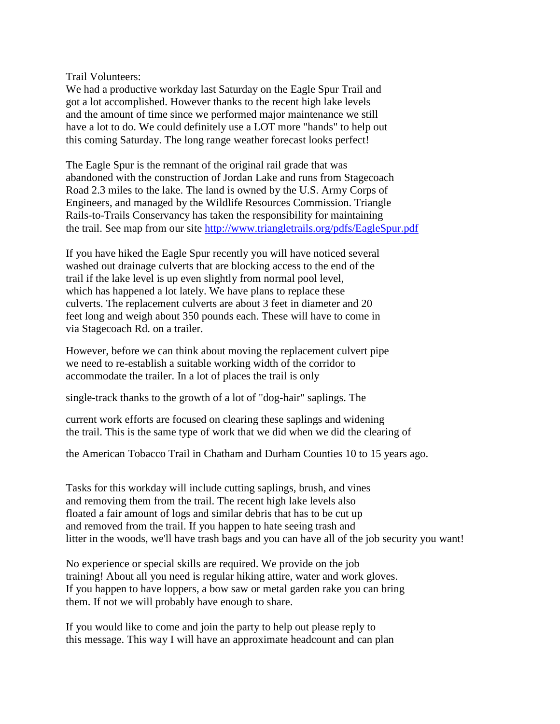Trail Volunteers:

We had a productive workday last Saturday on the Eagle Spur Trail and got a lot accomplished. However thanks to the recent high lake levels and the amount of time since we performed major maintenance we still have a lot to do. We could definitely use a LOT more "hands" to help out this coming Saturday. The long range weather forecast looks perfect!

The Eagle Spur is the remnant of the original rail grade that was abandoned with the construction of Jordan Lake and runs from Stagecoach Road 2.3 miles to the lake. The land is owned by the U.S. Army Corps of Engineers, and managed by the Wildlife Resources Commission. Triangle Rails-to-Trails Conservancy has taken the responsibility for maintaining the trail. See map from our site<http://www.triangletrails.org/pdfs/EagleSpur.pdf>

If you have hiked the Eagle Spur recently you will have noticed several washed out drainage culverts that are blocking access to the end of the trail if the lake level is up even slightly from normal pool level, which has happened a lot lately. We have plans to replace these culverts. The replacement culverts are about 3 feet in diameter and 20 feet long and weigh about 350 pounds each. These will have to come in via Stagecoach Rd. on a trailer.

However, before we can think about moving the replacement culvert pipe we need to re-establish a suitable working width of the corridor to accommodate the trailer. In a lot of places the trail is only

single-track thanks to the growth of a lot of "dog-hair" saplings. The

current work efforts are focused on clearing these saplings and widening the trail. This is the same type of work that we did when we did the clearing of

the American Tobacco Trail in Chatham and Durham Counties 10 to 15 years ago.

Tasks for this workday will include cutting saplings, brush, and vines and removing them from the trail. The recent high lake levels also floated a fair amount of logs and similar debris that has to be cut up and removed from the trail. If you happen to hate seeing trash and litter in the woods, we'll have trash bags and you can have all of the job security you want!

No experience or special skills are required. We provide on the job training! About all you need is regular hiking attire, water and work gloves. If you happen to have loppers, a bow saw or metal garden rake you can bring them. If not we will probably have enough to share.

If you would like to come and join the party to help out please reply to this message. This way I will have an approximate headcount and can plan